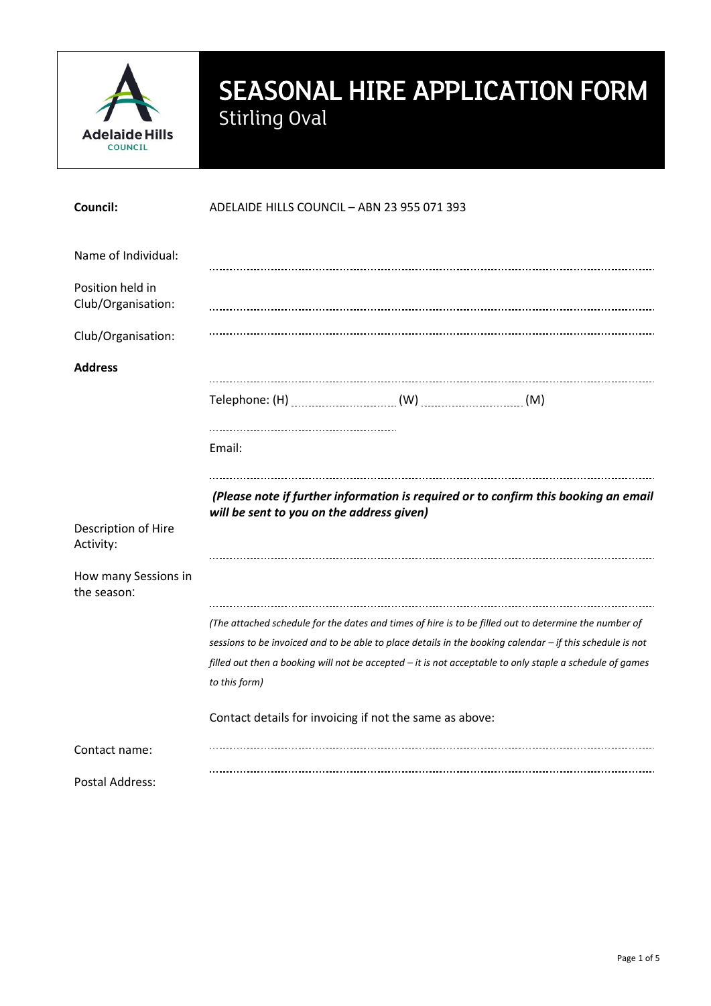

# SEASONAL HIRE APPLICATION FORM Stirling Oval

| <b>Council:</b>                        | ADELAIDE HILLS COUNCIL - ABN 23 955 071 393 |                                                         |                                                                                                                                                                                                                                                                                                                                |
|----------------------------------------|---------------------------------------------|---------------------------------------------------------|--------------------------------------------------------------------------------------------------------------------------------------------------------------------------------------------------------------------------------------------------------------------------------------------------------------------------------|
| Name of Individual:                    |                                             |                                                         |                                                                                                                                                                                                                                                                                                                                |
| Position held in<br>Club/Organisation: |                                             |                                                         |                                                                                                                                                                                                                                                                                                                                |
| Club/Organisation:                     |                                             |                                                         |                                                                                                                                                                                                                                                                                                                                |
| <b>Address</b>                         |                                             |                                                         |                                                                                                                                                                                                                                                                                                                                |
|                                        |                                             |                                                         |                                                                                                                                                                                                                                                                                                                                |
|                                        | Email:                                      |                                                         |                                                                                                                                                                                                                                                                                                                                |
|                                        | will be sent to you on the address given)   |                                                         | (Please note if further information is required or to confirm this booking an email                                                                                                                                                                                                                                            |
| Description of Hire<br>Activity:       |                                             |                                                         |                                                                                                                                                                                                                                                                                                                                |
| How many Sessions in<br>the season:    |                                             |                                                         |                                                                                                                                                                                                                                                                                                                                |
|                                        | to this form)                               |                                                         | (The attached schedule for the dates and times of hire is to be filled out to determine the number of<br>sessions to be invoiced and to be able to place details in the booking calendar - if this schedule is not<br>filled out then a booking will not be accepted - it is not acceptable to only staple a schedule of games |
|                                        |                                             | Contact details for invoicing if not the same as above: |                                                                                                                                                                                                                                                                                                                                |
| Contact name:                          |                                             |                                                         |                                                                                                                                                                                                                                                                                                                                |
| <b>Postal Address:</b>                 |                                             |                                                         |                                                                                                                                                                                                                                                                                                                                |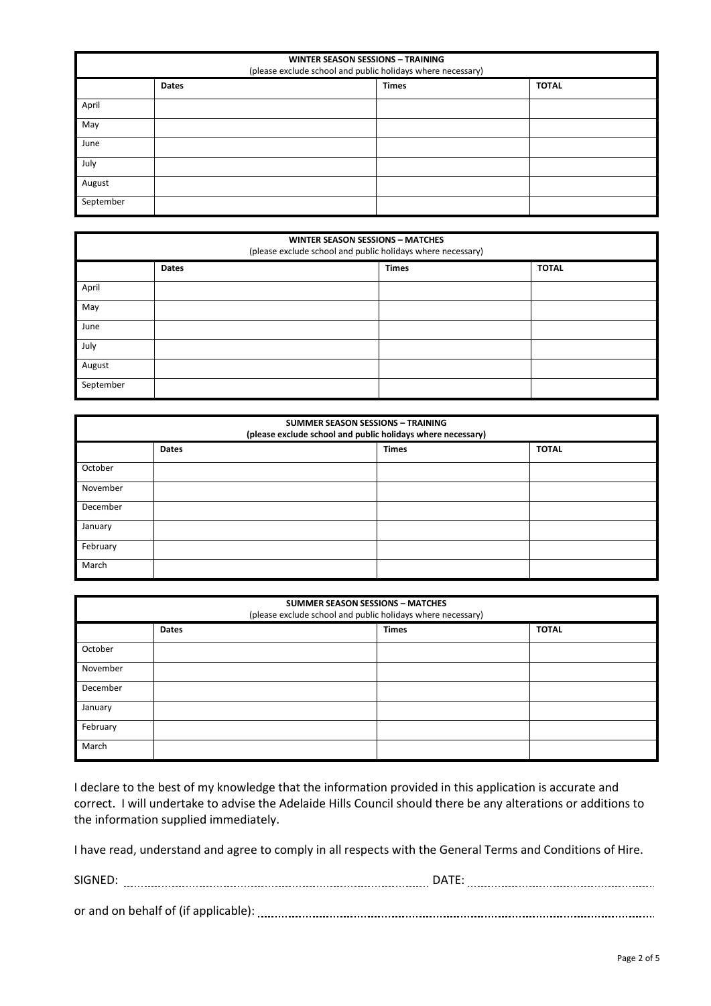| <b>WINTER SEASON SESSIONS - TRAINING</b><br>(please exclude school and public holidays where necessary) |       |              |              |
|---------------------------------------------------------------------------------------------------------|-------|--------------|--------------|
|                                                                                                         | Dates | <b>Times</b> | <b>TOTAL</b> |
| April                                                                                                   |       |              |              |
| May                                                                                                     |       |              |              |
| June                                                                                                    |       |              |              |
| July                                                                                                    |       |              |              |
| August                                                                                                  |       |              |              |
| September                                                                                               |       |              |              |

| <b>WINTER SEASON SESSIONS - MATCHES</b><br>(please exclude school and public holidays where necessary) |              |              |              |
|--------------------------------------------------------------------------------------------------------|--------------|--------------|--------------|
|                                                                                                        | <b>Dates</b> | <b>Times</b> | <b>TOTAL</b> |
| April                                                                                                  |              |              |              |
| May                                                                                                    |              |              |              |
| June                                                                                                   |              |              |              |
| July                                                                                                   |              |              |              |
| August                                                                                                 |              |              |              |
| September                                                                                              |              |              |              |

| <b>SUMMER SEASON SESSIONS - TRAINING</b><br>(please exclude school and public holidays where necessary) |              |              |              |
|---------------------------------------------------------------------------------------------------------|--------------|--------------|--------------|
|                                                                                                         | <b>Dates</b> | <b>Times</b> | <b>TOTAL</b> |
| October                                                                                                 |              |              |              |
| November                                                                                                |              |              |              |
| December                                                                                                |              |              |              |
| January                                                                                                 |              |              |              |
| February                                                                                                |              |              |              |
| March                                                                                                   |              |              |              |

| <b>SUMMER SEASON SESSIONS - MATCHES</b><br>(please exclude school and public holidays where necessary) |              |  |              |              |
|--------------------------------------------------------------------------------------------------------|--------------|--|--------------|--------------|
|                                                                                                        | <b>Dates</b> |  | <b>Times</b> | <b>TOTAL</b> |
| October                                                                                                |              |  |              |              |
| November                                                                                               |              |  |              |              |
| December                                                                                               |              |  |              |              |
| January                                                                                                |              |  |              |              |
| February                                                                                               |              |  |              |              |
| March                                                                                                  |              |  |              |              |

I declare to the best of my knowledge that the information provided in this application is accurate and correct. I will undertake to advise the Adelaide Hills Council should there be any alterations or additions to the information supplied immediately.

I have read, understand and agree to comply in all respects with the General Terms and Conditions of Hire.

| <b>SIGNE</b>                                 |  |
|----------------------------------------------|--|
|                                              |  |
| or and on behalf of (if applicable,<br>----- |  |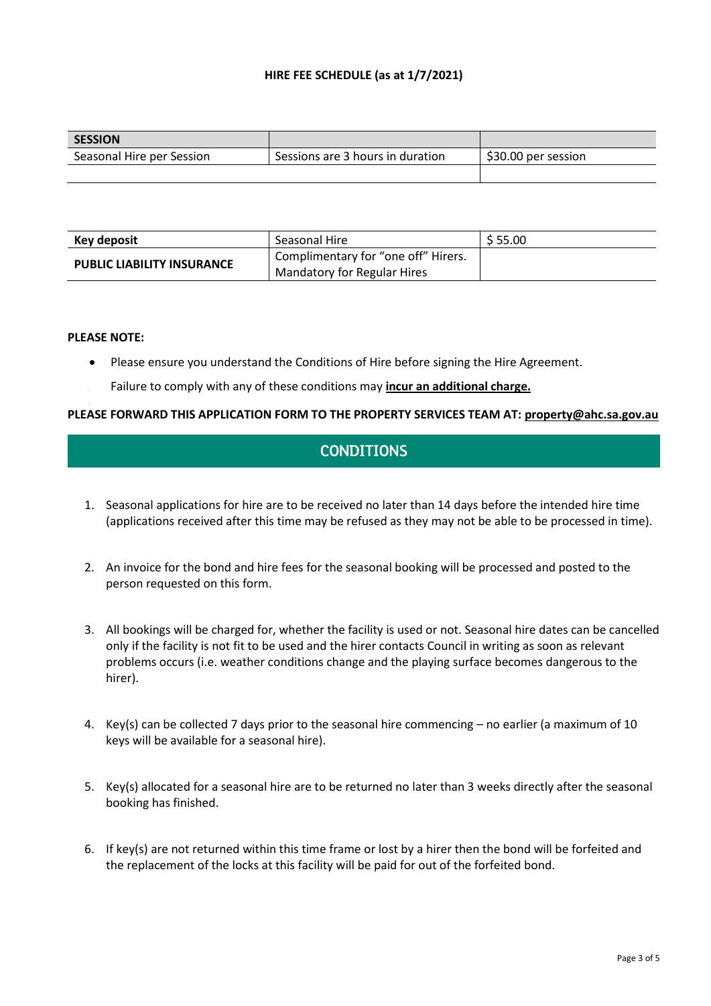## **HIRE FEE SCHEDULE (as at 1/7/2021)**

| <b>SESSION</b>            |                                  |                     |
|---------------------------|----------------------------------|---------------------|
| Seasonal Hire per Session | Sessions are 3 hours in duration | \$30.00 per session |
|                           |                                  |                     |

| Key deposit                       | Seasonal Hire                                    | \$55.00 |
|-----------------------------------|--------------------------------------------------|---------|
| <b>PUBLIC LIABILITY INSURANCE</b> | <sup>1</sup> Complimentary for "one off" Hirers. |         |
|                                   | <b>Mandatory for Regular Hires</b>               |         |

#### **PLEASE NOTE:**

- Please ensure you understand the Conditions of Hire before signing the Hire Agreement.
- Failure to comply with any of these conditions may **incur an additional charge.**

#### **PLEASE FORWARD THIS APPLICATION FORM TO THE PROPERTY SERVICES TEAM AT: property@ahc.sa.gov.au**

# **CONDITIONS**

- 1. Seasonal applications for hire are to be received no later than 14 days before the intended hire time (applications received after this time may be refused as they may not be able to be processed in time).
- 2. An invoice for the bond and hire fees for the seasonal booking will be processed and posted to the person requested on this form.
- 3. All bookings will be charged for, whether the facility is used or not. Seasonal hire dates can be cancelled only if the facility is not fit to be used and the hirer contacts Council in writing as soon as relevant problems occurs (i.e. weather conditions change and the playing surface becomes dangerous to the hirer).
- 4. Key(s) can be collected 7 days prior to the seasonal hire commencing no earlier (a maximum of 10 keys will be available for a seasonal hire).
- 5. Key(s) allocated for a seasonal hire are to be returned no later than 3 weeks directly after the seasonal booking has finished.
- 6. If key(s) are not returned within this time frame or lost by a hirer then the bond will be forfeited and the replacement of the locks at this facility will be paid for out of the forfeited bond.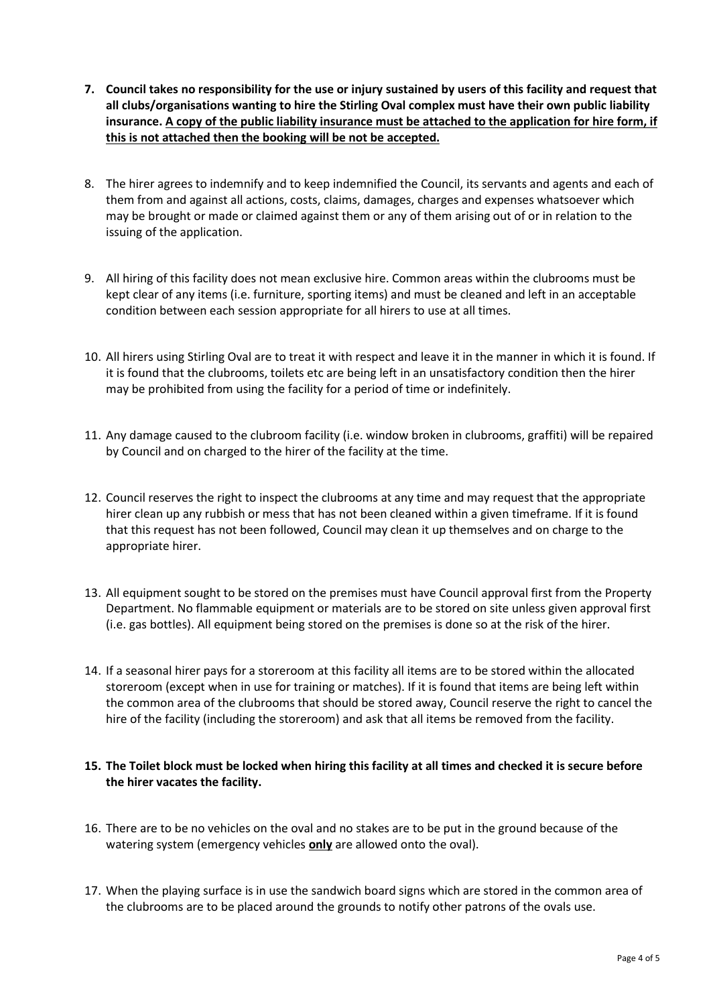- **7. Council takes no responsibility for the use or injury sustained by users of this facility and request that all clubs/organisations wanting to hire the Stirling Oval complex must have their own public liability insurance. A copy of the public liability insurance must be attached to the application for hire form, if this is not attached then the booking will be not be accepted.**
- 8. The hirer agrees to indemnify and to keep indemnified the Council, its servants and agents and each of them from and against all actions, costs, claims, damages, charges and expenses whatsoever which may be brought or made or claimed against them or any of them arising out of or in relation to the issuing of the application.
- 9. All hiring of this facility does not mean exclusive hire. Common areas within the clubrooms must be kept clear of any items (i.e. furniture, sporting items) and must be cleaned and left in an acceptable condition between each session appropriate for all hirers to use at all times.
- 10. All hirers using Stirling Oval are to treat it with respect and leave it in the manner in which it is found. If it is found that the clubrooms, toilets etc are being left in an unsatisfactory condition then the hirer may be prohibited from using the facility for a period of time or indefinitely.
- 11. Any damage caused to the clubroom facility (i.e. window broken in clubrooms, graffiti) will be repaired by Council and on charged to the hirer of the facility at the time.
- 12. Council reserves the right to inspect the clubrooms at any time and may request that the appropriate hirer clean up any rubbish or mess that has not been cleaned within a given timeframe. If it is found that this request has not been followed, Council may clean it up themselves and on charge to the appropriate hirer.
- 13. All equipment sought to be stored on the premises must have Council approval first from the Property Department. No flammable equipment or materials are to be stored on site unless given approval first (i.e. gas bottles). All equipment being stored on the premises is done so at the risk of the hirer.
- 14. If a seasonal hirer pays for a storeroom at this facility all items are to be stored within the allocated storeroom (except when in use for training or matches). If it is found that items are being left within the common area of the clubrooms that should be stored away, Council reserve the right to cancel the hire of the facility (including the storeroom) and ask that all items be removed from the facility.

## **15. The Toilet block must be locked when hiring this facility at all times and checked it is secure before the hirer vacates the facility.**

- 16. There are to be no vehicles on the oval and no stakes are to be put in the ground because of the watering system (emergency vehicles **only** are allowed onto the oval).
- 17. When the playing surface is in use the sandwich board signs which are stored in the common area of the clubrooms are to be placed around the grounds to notify other patrons of the ovals use.